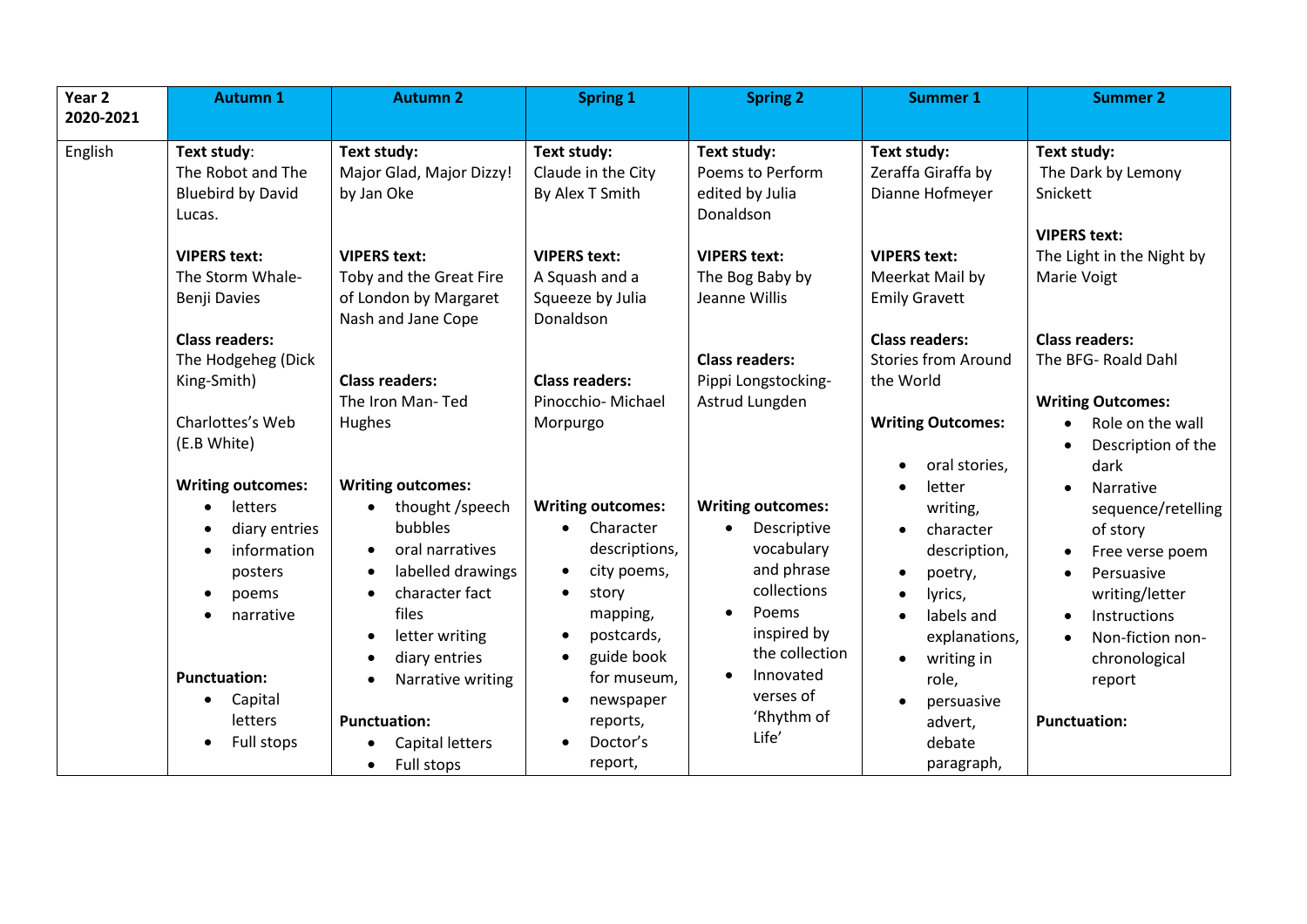| Year <sub>2</sub> | <b>Autumn 1</b>                                                                                                             | <b>Autumn 2</b>                                                                                                                                                                                | <b>Spring 1</b>                                                                                                                                    | <b>Spring 2</b>                                                                                                                           | <b>Summer 1</b>                                                                                                             | <b>Summer 2</b>                                                                                                                                                                         |
|-------------------|-----------------------------------------------------------------------------------------------------------------------------|------------------------------------------------------------------------------------------------------------------------------------------------------------------------------------------------|----------------------------------------------------------------------------------------------------------------------------------------------------|-------------------------------------------------------------------------------------------------------------------------------------------|-----------------------------------------------------------------------------------------------------------------------------|-----------------------------------------------------------------------------------------------------------------------------------------------------------------------------------------|
| 2020-2021         |                                                                                                                             |                                                                                                                                                                                                |                                                                                                                                                    |                                                                                                                                           |                                                                                                                             |                                                                                                                                                                                         |
| English           | Text study:<br>The Robot and The<br><b>Bluebird by David</b><br>Lucas.                                                      | Text study:<br>Major Glad, Major Dizzy!<br>by Jan Oke                                                                                                                                          | Text study:<br>Claude in the City<br>By Alex T Smith                                                                                               | Text study:<br>Poems to Perform<br>edited by Julia<br>Donaldson                                                                           | Text study:<br>Zeraffa Giraffa by<br>Dianne Hofmeyer                                                                        | Text study:<br>The Dark by Lemony<br>Snickett<br><b>VIPERS text:</b>                                                                                                                    |
|                   | <b>VIPERS text:</b><br>The Storm Whale-<br>Benji Davies                                                                     | <b>VIPERS text:</b><br>Toby and the Great Fire<br>of London by Margaret<br>Nash and Jane Cope                                                                                                  | <b>VIPERS text:</b><br>A Squash and a<br>Squeeze by Julia<br>Donaldson                                                                             | <b>VIPERS text:</b><br>The Bog Baby by<br>Jeanne Willis                                                                                   | <b>VIPERS text:</b><br>Meerkat Mail by<br><b>Emily Gravett</b>                                                              | The Light in the Night by<br>Marie Voigt                                                                                                                                                |
|                   | <b>Class readers:</b><br>The Hodgeheg (Dick<br>King-Smith)<br>Charlottes's Web<br>(E.B White)                               | <b>Class readers:</b><br>The Iron Man-Ted<br>Hughes                                                                                                                                            | <b>Class readers:</b><br>Pinocchio-Michael<br>Morpurgo                                                                                             | <b>Class readers:</b><br>Pippi Longstocking-<br>Astrud Lungden                                                                            | <b>Class readers:</b><br><b>Stories from Around</b><br>the World<br><b>Writing Outcomes:</b><br>oral stories,               | <b>Class readers:</b><br>The BFG- Roald Dahl<br><b>Writing Outcomes:</b><br>Role on the wall<br>Description of the<br>dark                                                              |
|                   | <b>Writing outcomes:</b><br>letters<br>diary entries<br>information<br>posters<br>poems<br>narrative<br><b>Punctuation:</b> | <b>Writing outcomes:</b><br>thought /speech<br>$\bullet$<br>bubbles<br>oral narratives<br>labelled drawings<br>character fact<br>files<br>letter writing<br>diary entries<br>Narrative writing | <b>Writing outcomes:</b><br>Character<br>descriptions,<br>city poems,<br>$\bullet$<br>story<br>mapping,<br>postcards,<br>guide book<br>for museum, | <b>Writing outcomes:</b><br>Descriptive<br>vocabulary<br>and phrase<br>collections<br>Poems<br>inspired by<br>the collection<br>Innovated | letter<br>writing,<br>character<br>description,<br>poetry,<br>lyrics,<br>labels and<br>explanations,<br>writing in<br>role, | Narrative<br>$\bullet$<br>sequence/retelling<br>of story<br>Free verse poem<br>Persuasive<br>writing/letter<br>Instructions<br>Non-fiction non-<br>$\bullet$<br>chronological<br>report |
|                   | Capital<br>letters<br>Full stops                                                                                            | <b>Punctuation:</b><br>Capital letters<br>Full stops<br>$\bullet$                                                                                                                              | newspaper<br>$\bullet$<br>reports,<br>Doctor's<br>report,                                                                                          | verses of<br>'Rhythm of<br>Life'                                                                                                          | persuasive<br>advert,<br>debate<br>paragraph,                                                                               | <b>Punctuation:</b>                                                                                                                                                                     |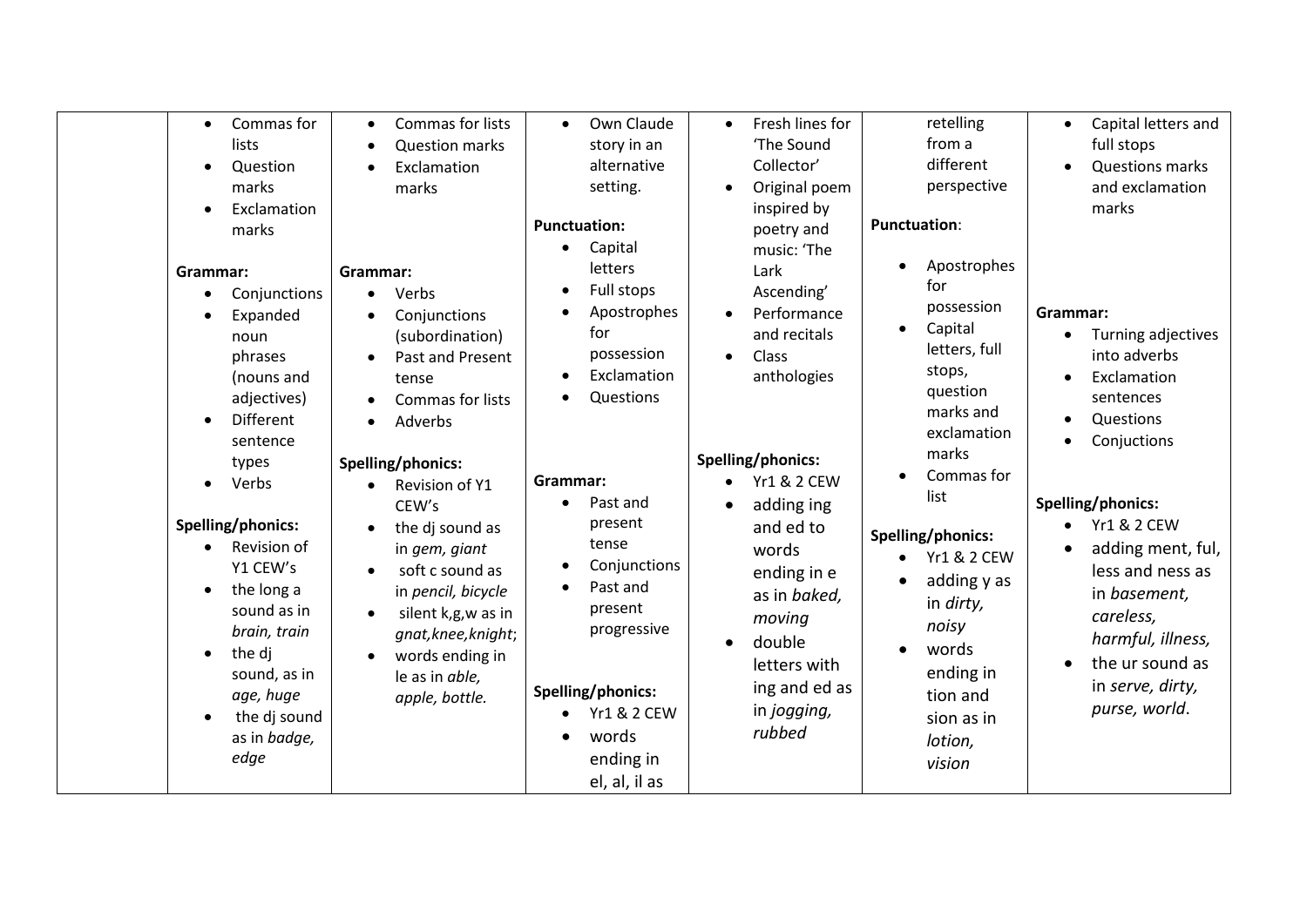| Commas for<br>$\bullet$<br>lists<br>Question<br>$\bullet$<br>marks<br>Exclamation<br>marks<br>Grammar:                                                                                                                                                                                                                                                     | Commas for lists<br><b>Question marks</b><br>Exclamation<br>marks<br>Grammar:                                                                                                                                                                                                                                                         | Own Claude<br>$\bullet$<br>story in an<br>alternative<br>setting.<br><b>Punctuation:</b><br>Capital<br>$\bullet$<br>letters                                                                                                                                        | Fresh lines for<br>$\bullet$<br>'The Sound<br>Collector'<br>Original poem<br>$\bullet$<br>inspired by<br>poetry and<br>music: 'The<br>Lark                                                                                                                                                               | retelling<br>from a<br>different<br>perspective<br><b>Punctuation:</b><br>Apostrophes                                                                                                                                                                                                                | Capital letters and<br>full stops<br><b>Questions marks</b><br>and exclamation<br>marks                                                                                                                                                                                                                 |
|------------------------------------------------------------------------------------------------------------------------------------------------------------------------------------------------------------------------------------------------------------------------------------------------------------------------------------------------------------|---------------------------------------------------------------------------------------------------------------------------------------------------------------------------------------------------------------------------------------------------------------------------------------------------------------------------------------|--------------------------------------------------------------------------------------------------------------------------------------------------------------------------------------------------------------------------------------------------------------------|----------------------------------------------------------------------------------------------------------------------------------------------------------------------------------------------------------------------------------------------------------------------------------------------------------|------------------------------------------------------------------------------------------------------------------------------------------------------------------------------------------------------------------------------------------------------------------------------------------------------|---------------------------------------------------------------------------------------------------------------------------------------------------------------------------------------------------------------------------------------------------------------------------------------------------------|
| Conjunctions<br>$\bullet$<br>Expanded<br>noun<br>phrases<br>(nouns and<br>adjectives)<br><b>Different</b><br>sentence<br>types<br>Verbs<br>Spelling/phonics:<br>Revision of<br>Y1 CEW's<br>the long a<br>$\bullet$<br>sound as in<br>brain, train<br>the di<br>$\bullet$<br>sound, as in<br>age, huge<br>the dj sound<br>$\bullet$<br>as in badge,<br>edge | Verbs<br>Conjunctions<br>(subordination)<br>Past and Present<br>tense<br>Commas for lists<br>Adverbs<br>Spelling/phonics:<br>Revision of Y1<br>CEW's<br>the dj sound as<br>in gem, giant<br>soft c sound as<br>in pencil, bicycle<br>silent k,g,w as in<br>gnat, knee, knight;<br>words ending in<br>le as in able,<br>apple, bottle. | Full stops<br>Apostrophes<br>for<br>possession<br>Exclamation<br>Questions<br>Grammar:<br>Past and<br>present<br>tense<br>Conjunctions<br>Past and<br>present<br>progressive<br>Spelling/phonics:<br><b>Yr1 &amp; 2 CEW</b><br>words<br>ending in<br>el, al, il as | Ascending'<br>Performance<br>$\bullet$<br>and recitals<br>Class<br>$\bullet$<br>anthologies<br>Spelling/phonics:<br><b>Yr1 &amp; 2 CEW</b><br>adding ing<br>and ed to<br>words<br>ending in e<br>as in baked,<br>moving<br>double<br>$\bullet$<br>letters with<br>ing and ed as<br>in jogging,<br>rubbed | for<br>possession<br>Capital<br>$\bullet$<br>letters, full<br>stops,<br>question<br>marks and<br>exclamation<br>marks<br>Commas for<br>list<br>Spelling/phonics:<br><b>Yr1 &amp; 2 CEW</b><br>adding y as<br>in dirty,<br>noisy<br>words<br>ending in<br>tion and<br>sion as in<br>lotion,<br>vision | Grammar:<br>Turning adjectives<br>into adverbs<br>Exclamation<br>sentences<br>Questions<br>Conjuctions<br>Spelling/phonics:<br>$\bullet$ Yr1 & 2 CEW<br>adding ment, ful,<br>less and ness as<br>in basement,<br>careless,<br>harmful, illness,<br>the ur sound as<br>in serve, dirty,<br>purse, world. |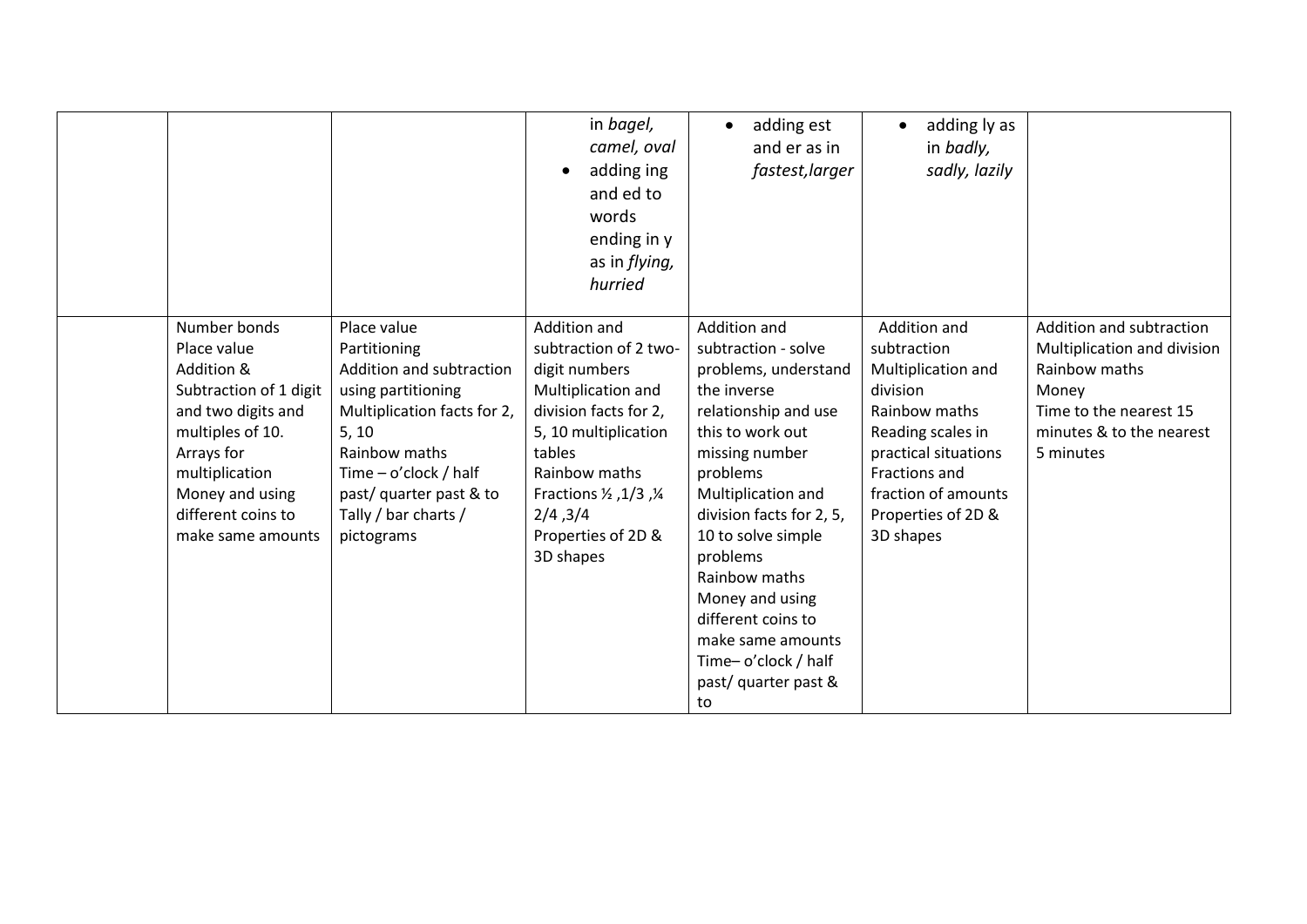|                                                                                                                                                                                                             |                                                                                                                                                                                                                                    | in bagel,<br>camel, oval<br>adding ing<br>and ed to<br>words<br>ending in y<br>as in flying,<br>hurried                                                                                                                           | adding est<br>$\bullet$<br>and er as in<br>fastest, larger                                                                                                                                                                                                                                                                                                                   | adding ly as<br>in badly,<br>sadly, lazily                                                                                                                                                             |                                                                                                                                                      |
|-------------------------------------------------------------------------------------------------------------------------------------------------------------------------------------------------------------|------------------------------------------------------------------------------------------------------------------------------------------------------------------------------------------------------------------------------------|-----------------------------------------------------------------------------------------------------------------------------------------------------------------------------------------------------------------------------------|------------------------------------------------------------------------------------------------------------------------------------------------------------------------------------------------------------------------------------------------------------------------------------------------------------------------------------------------------------------------------|--------------------------------------------------------------------------------------------------------------------------------------------------------------------------------------------------------|------------------------------------------------------------------------------------------------------------------------------------------------------|
| Number bonds<br>Place value<br>Addition &<br>Subtraction of 1 digit<br>and two digits and<br>multiples of 10.<br>Arrays for<br>multiplication<br>Money and using<br>different coins to<br>make same amounts | Place value<br>Partitioning<br>Addition and subtraction<br>using partitioning<br>Multiplication facts for 2,<br>5, 10<br>Rainbow maths<br>Time $-$ o'clock / half<br>past/ quarter past & to<br>Tally / bar charts /<br>pictograms | Addition and<br>subtraction of 2 two-<br>digit numbers<br>Multiplication and<br>division facts for 2,<br>5, 10 multiplication<br>tables<br>Rainbow maths<br>Fractions 1/2, 1/3, 1/4<br>2/4,3/4<br>Properties of 2D &<br>3D shapes | Addition and<br>subtraction - solve<br>problems, understand<br>the inverse<br>relationship and use<br>this to work out<br>missing number<br>problems<br>Multiplication and<br>division facts for 2, 5,<br>10 to solve simple<br>problems<br>Rainbow maths<br>Money and using<br>different coins to<br>make same amounts<br>Time-o'clock / half<br>past/ quarter past &<br>to | Addition and<br>subtraction<br>Multiplication and<br>division<br>Rainbow maths<br>Reading scales in<br>practical situations<br>Fractions and<br>fraction of amounts<br>Properties of 2D &<br>3D shapes | Addition and subtraction<br>Multiplication and division<br>Rainbow maths<br>Money<br>Time to the nearest 15<br>minutes & to the nearest<br>5 minutes |